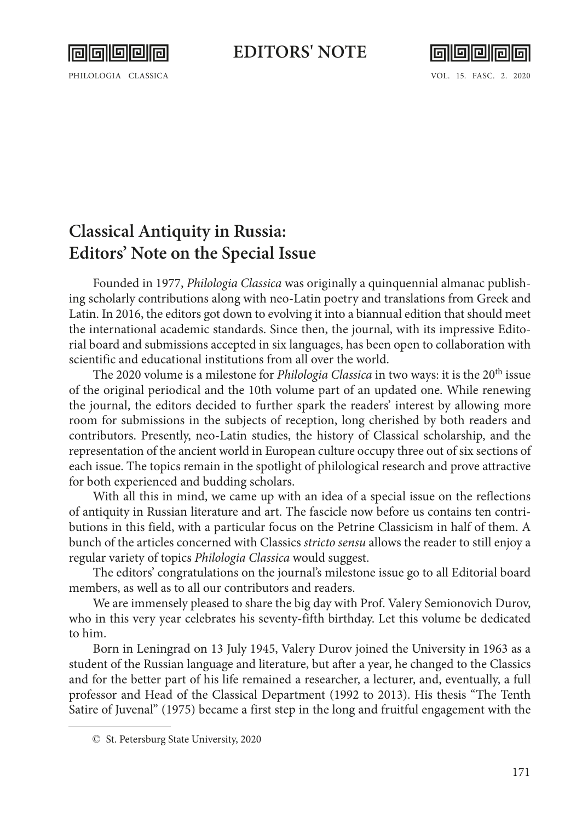

## **EDITORS' NOTE**



PHILOLOGIA CLASSICA VOL. 15. FASC. 2. 2020

## **Classical Antiquity in Russia: Editors' Note on the Special Issue**

Founded in 1977, *Philologia Classica* was originally a quinquennial almanac publishing scholarly contributions along with neo-Latin poetry and translations from Greek and Latin. In 2016, the editors got down to evolving it into a biannual edition that should meet the international academic standards. Since then, the journal, with its impressive Editorial board and submissions accepted in six languages, has been open to collaboration with scientific and educational institutions from all over the world.

The 2020 volume is a milestone for *Philologia Classica* in two ways: it is the 20th issue of the original periodical and the 10th volume part of an updated one. While renewing the journal, the editors decided to further spark the readers' interest by allowing more room for submissions in the subjects of reception, long cherished by both readers and contributors. Presently, neo-Latin studies, the history of Classical scholarship, and the representation of the ancient world in European culture occupy three out of six sections of each issue. The topics remain in the spotlight of philological research and prove attractive for both experienced and budding scholars.

With all this in mind, we came up with an idea of a special issue on the reflections of antiquity in Russian literature and art. The fascicle now before us contains ten contributions in this field, with a particular focus on the Petrine Classicism in half of them. A bunch of the articles concerned with Classics *stricto sensu* allows the reader to still enjoy a regular variety of topics *Philologia Classica* would suggest.

The editors' congratulations on the journal's milestone issue go to all Editorial board members, as well as to all our contributors and readers.

We are immensely pleased to share the big day with Prof. Valery Semionovich Durov, who in this very year celebrates his seventy-fifth birthday. Let this volume be dedicated to him.

Born in Leningrad on 13 July 1945, Valery Durov joined the University in 1963 as a student of the Russian language and literature, but after a year, he changed to the Classics and for the better part of his life remained a researcher, a lecturer, and, eventually, a full professor and Head of the Classical Department (1992 to 2013). His thesis "The Tenth Satire of Juvenal" (1975) became a first step in the long and fruitful engagement with the

<sup>©</sup> St. Petersburg State University, 2020